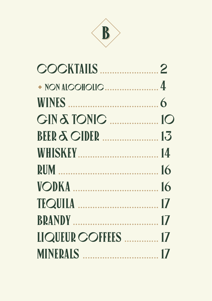

|                 | 6              |
|-----------------|----------------|
| GIN & TONIC     | $1$ $\bigcirc$ |
| BEER & CIDER    | 13             |
|                 | 14             |
|                 | 16             |
|                 | 16             |
|                 | 17             |
|                 | 17             |
| LIQUEUR COFFEES | 17             |
|                 |                |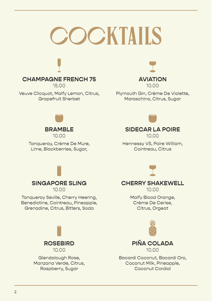## **COCKTAILS**





Plymouth Gin, Crème De Violette, Maraschino, Citrus, Sugar



Hennessy VS, Poire William, Cointreau, Citrus



10.00

Malfy Blood Orange, Crème De Cerise, Citrus, Orgeat



#### **PIÑA COLADA**

10.00

Bacardi Coconut, Bacardi Oro, Coconut Milk, Pineapple, Coconut Cordial



Glendalough Rose, Manzana Verde, Citrus, Raspberry, Sugar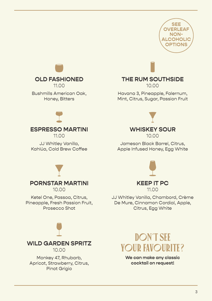



Bushmills American Oak, Honey, Bitters

#### **THE RUM SOUTHSIDE**

10.00

Havana 3, Pineapple, Falernum, Mint, Citrus, Sugar, Passion Fruit



#### **ESPRESSO MARTINI**

11.00

JJ Whitley Vanilla, Kahlúa, Cold Brew Coffee



Jameson Black Barrel, Citrus, Apple Infused Honey, Egg White



#### **PORNSTAR MARTINI**

10.00

Ketel One, Passoa, Citrus, Pineapple, Fresh Passion Fruit, Prosecco Shot



11.00

JJ Whitley Vanilla, Chambord, Crème De Mure, Cinnamon Cordial, Apple, Citrus, Egg White



#### **WILD GARDEN SPRITZ**

10.00

Monkey 47, Rhubarb, Apricot, Strawberry, Citrus, Pinot Grigio

#### DON'T SEE your favourite?

**We can make any classic cocktail on request!**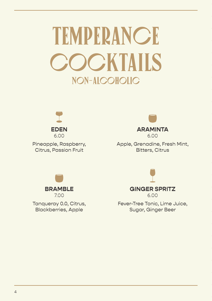



Pineapple, Raspberry, Citrus, Passion Fruit



Apple, Grenadine, Fresh Mint, Bitters, Citrus



Tanqueray 0.0, Citrus, Blackberries, Apple



Fever-Tree Tonic, Lime Juice, Sugar, Ginger Beer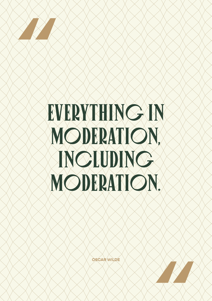## EVERYTHING IN moderation, including moderation.

**OSCAR WILDE**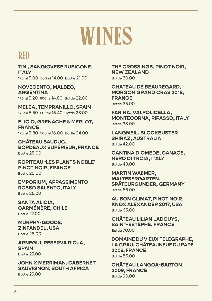## WINES

#### **DED**

**TINI, SANGIOVESE RUBICONE, ITALY**

175ml 5.00 500ml14.00 Bottle 21.00

**NOVECENTO, MALBEC, ARGENTINA** 175ml 5.20 500ml14.80 Bottle 22.00

**MELEA, TEMPRANILLO, SPAIN** 175ml 5.50 500ml15.40 Bottle 23.00

**ELICIO, GRENACHE & MERLOT, FRANCE**

175ml 5.80 500ml16.00 Bottle 24.00

**CHÂTEAU BAUDUC, BORDEAUX SUPÉRIEUR, FRANCE** Bottle 25.00

**ROPITEAU 'LES PLANTS NOBLE' PINOT NOIR, FRANCE** Bottle 25.00

**EMPORIUM, APPASSIMENTO ROSSO SALENTO, ITALY** Bottle 26.00

**SANTA ALICIA, CARMÉNÈRE, CHILE** Bottle 27.00

**MURPHY-GOODE, ZINFANDEL, USA** Bottle 28.00

**ARNEGUI, RESERVA RIOJA, SPAIN** Bottle 29.00

**JOHN X MERRIMAN, CABERNET SAUVIGNON, SOUTH AFRICA** Bottle 29.00

**THE CROSSINGS, PINOT NOIR, NEW ZEALAND** Bottle 30.00

**CHATEAU DE BEAUREGARD, MORGON GRAND CRAS 2018, FRANCE** Bottle 35.00

**FARINA, VALPOLICELLA, MONTECORNA, RIPASSO, ITALY** Bottle 38.00

**LANGMEIL, BLOCKBUSTER SHIRAZ, AUSTRALIA** Bottle 42.00

**CANTINA DIOMEDE, CANACE, NERO DI TROIA, ITALY** Bottle 48.00

**MARTIN WAßMER, MALTESERGARTEN, SPÄTBURGUNDER, GERMANY** Bottle 55.00

**AU BON CLIMAT, PINOT NOIR, KNOX ALEXANDER 2017, USA** Bottle 65.00

**CHÂTEAU LILIAN LADOUYS, SAINT-ESTÈPHE, FRANCE** Bottle 70.00

**DOMAINE DU VIEUX TELEGRAPHE, LA CRAU, CHÂTEAUNEUF DU PAPE 2009, FRANCE** Bottle 85.00

**CHÂTEAU LANGOA-BARTON 2009, FRANCE** Bottle 90.00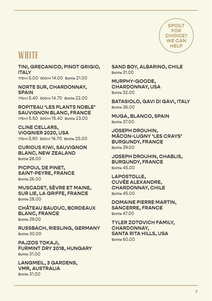

#### **WHITE**

**TINI, GRECANICO, PINOT GRIGIO, ITALY**

175ml 5.00 500ml14.00 Bottle 21.00

**NORTE SUR, CHARDONNAY, SPAIN** 175ml 5.40 500ml14.70 Bottle 22.00

**ROPITEAU 'LES PLANTS NOBLE' SAUVIGNON BLANC, FRANCE** 175ml 5.50 500ml15.40 Bottle 23.00

**CLINE CELLARS, VIOGNIER 2020, USA** 175ml 5.90 500ml16.70 Bottle 25.00

**CURIOUS KIWI, SAUVIGNON BLANC, NEW ZEALAND** Bottle 26.00

**PICPOUL DE PINET, SAINT-PEYRE, FRANCE** Bottle 26.00

**MUSCADET, SÈVRE ET MAINE, SUR LIE, LA GRIFFE, FRANCE** Bottle 28.00

**CHÂTEAU BAUDUC, BORDEAUX BLANC, FRANCE** Bottle 29.00

**RUSSBACH, RIESLING, GERMANY** Bottle 30.00

**PAJZOS TOKAJI, FURMINT DRY 2018, HUNGARY** Bottle 31.00

**LANGMEIL, 3 GARDENS, VMR, AUSTRALIA** Bottle 31.00

**SAND BOY, ALBARINO, CHILE** Bottle 31.00

**MURPHY-GOODE, CHARDONNAY, USA** Bottle 32.00

**BATASIOLO, GAVI DI GAVI, ITALY** Bottle 36.00

**MUGA, BLANCO, SPAIN** Bottle 37.00

**JOSEPH DROUHIN, MÂCON-LUGNY 'LES CRAYS' BURGUNDY, FRANCE** Bottle 39.00

**JOSEPH DROUHIN, CHABLIS, BURGUNDY, FRANCE** Bottle 45.00

**LAPOSTOLLE, CUVÉE ALEXANDRE, CHARDONNAY, CHILE** Bottle 45.00

**DOMAINE PIERRE MARTIN, SANCERRE, FRANCE** Bottle 47.00

**TYLER ZOTOVICH FAMILY, CHARDONNAY, SANTA RITA HILLS, USA** Bottle 60.00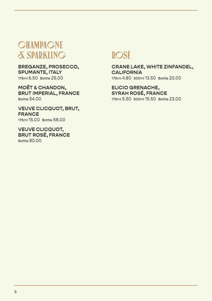#### **CHAMPAGNE** & SPARKLING

**BREGANZE, PROSECCO, SPUMANTE, ITALY** 175ml 6.50 Bottle 25.00

**MOËT & CHANDON, BRUT IMPERIAL, FRANCE** Bottle 54.00

**VEUVE CLICQUOT, BRUT, FRANCE** 175ml 15.00 Bottle 58.00

**VEUVE CLICQUOT, BRUT ROSÉ, FRANCE** Bottle 80.00



**CRANE LAKE, WHITE ZINFANDEL, CALIFORNIA** 175ml 4.80 500ml 13.50 Bottle 20.00

**ELICIO GRENACHE, SYRAH ROSÉ, FRANCE** 175ml 5.50 500ml 15.50 Bottle 23.00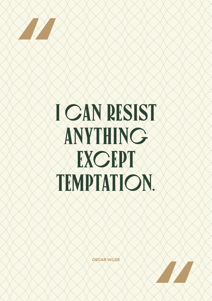## I CAN RESIST anything EXCEPT temptation.

**OSCAR WILDE**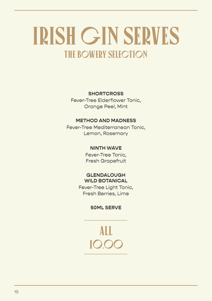## **IRISH GIN SERVES** THE BOWERY SELECTION

#### **SHORTCROSS**

Fever-Tree Elderflower Tonic, Orange Peel, Mint

#### **METHOD AND MADNESS**

Fever-Tree Mediterranean Tonic, Lemon, Rosemary

#### **NINTH WAVE**

Fever-Tree Tonic, Fresh Grapefruit

#### **GLENDALOUGH WILD BOTANICAL**

Fever-Tree Light Tonic, Fresh Berries, Lime

#### **50ML SERVE**

### all 10.00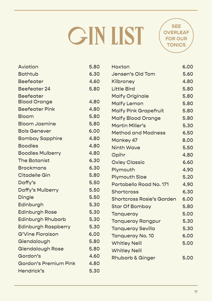# **GIN LIST**

**SEE OVERLEAF FOR OUR TONICS**

| Aviation                   | 5.80 | Hoxton                           | 6.00 |
|----------------------------|------|----------------------------------|------|
| <b>Bathtub</b>             | 6.30 | Jensen's Old Tom                 | 5.60 |
| <b>Beefeater</b>           | 4.60 | Kilbroney                        | 4.80 |
| Beefeater 24               | 5.80 | <b>Little Bird</b>               | 5.80 |
| <b>Beefeater</b>           |      | <b>Malfy Originale</b>           | 5.80 |
| <b>Blood Orange</b>        | 4.80 | <b>Malfy Lemon</b>               | 5.80 |
| <b>Beefeater Pink</b>      | 4.80 | <b>Malfy Pink Grapefruit</b>     | 5.80 |
| <b>Bloom</b>               | 5.80 | <b>Malfy Blood Orange</b>        | 5.80 |
| <b>Bloom Jasmine</b>       | 5.80 | <b>Martin Miller's</b>           | 5.30 |
| <b>Bols Genever</b>        | 6.00 | <b>Method and Madness</b>        | 6.50 |
| <b>Bombay Sapphire</b>     | 4.80 | Monkey 47                        | 8.00 |
| <b>Boodles</b>             | 4.80 | <b>Ninth Wave</b>                | 5.50 |
| <b>Boodles Mulberry</b>    | 4.80 | Opihr                            | 4.80 |
| <b>The Botanist</b>        | 6.30 | <b>Oxley Classic</b>             | 6.60 |
| <b>Brockmans</b>           | 6.30 | Plymouth                         | 4.90 |
| <b>Citadelle Gin</b>       | 5.80 | <b>Plymouth Sloe</b>             | 5.20 |
| Daffy's                    | 5.50 | Portobello Road No. 171          | 4.90 |
| Daffy's Mulberry           | 5.50 | <b>Shortcross</b>                | 6.30 |
| <b>Dingle</b>              | 5.50 | <b>Shortcross Rosie's Garden</b> | 6.00 |
| Edinburgh                  | 5.30 | <b>Star Of Bombay</b>            | 5.80 |
| <b>Edinburgh Rose</b>      | 5.30 | Tanqueray                        | 5.00 |
| <b>Edinburgh Rhubarb</b>   | 5.30 | <b>Tanqueray Rangpur</b>         | 5.30 |
| <b>Edinburgh Raspberry</b> | 5.30 | <b>Tanqueray Sevilla</b>         | 5.30 |
| <b>G'Vine Floraison</b>    | 6.00 | <b>Tanqueray No. 10</b>          | 6.00 |
| Glendalough                | 5.80 | <b>Whitley Neill</b>             | 5.00 |
| <b>Glendalough Rose</b>    | 5.80 | <b>Whitley Neill</b>             |      |
| Gordon's                   | 4.60 | <b>Rhubarb &amp; Ginger</b>      | 5.00 |
| Gordon's Premium Pink      | 4.80 |                                  |      |
| Hendrick's                 | 5.30 |                                  |      |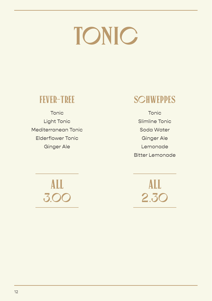## TONIC

Tonic Light Tonic Mediterranean Tonic Elderflower Tonic Ginger Ale

#### FEVER-TREE SCHWEPPES

Tonic Slimline Tonic Soda Water Ginger Ale Lemonade Bitter Lemonade

All 3.00

All 2.30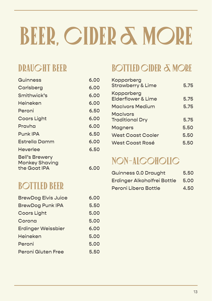# BEER, CIDER & MORE

#### DRAUGHT BEER

| Guinness                                                       | 6.00 |
|----------------------------------------------------------------|------|
| Carlsberg                                                      | 6.00 |
| Smithwick's                                                    | 6.00 |
| Heineken                                                       | 6.00 |
| Peroni                                                         | 6.50 |
| Coors Light                                                    | 6.00 |
| Pravha                                                         | 6.00 |
| Punk IPA                                                       | 6.50 |
| Estrella Damm                                                  | 6.00 |
| <b>Heverlee</b>                                                | 6.50 |
| <b>Bell's Brewery</b><br><b>Monkey Shaving</b><br>the Goat IPA | 6.00 |
|                                                                |      |

### BOTTLED BEER

| <b>BrewDog Elvis Juice</b> | 6.00 |
|----------------------------|------|
| <b>BrewDog Punk IPA</b>    | 5.50 |
| Coors Light                | 5.00 |
| Corona                     | 5.00 |
| Erdinger Weissbier         | 6.00 |
| Heineken                   | 5.00 |
| Peroni                     | 5.00 |
| <b>Peroni Gluten Free</b>  | 5.50 |

#### **BOTTLED CIDER & MORE**

| Kopparberg<br><b>Strawberry &amp; Lime</b> | 5.75 |
|--------------------------------------------|------|
| Kopparberg<br>Elderflower & Lime           | 5.75 |
| MacIvors Medium                            | 5.75 |
| <b>MacIvors</b><br><b>Traditional Dry</b>  | 5.75 |
| <b>Magners</b>                             | 5.50 |
| <b>West Coast Cooler</b>                   | 5.50 |
| <b>West Coast Rosé</b>                     | 5.5  |

#### Non-alcoholiC

| Guinness 0.0 Draught        | 5.50 |
|-----------------------------|------|
| Erdinger Alkoholfrei Bottle | 5.00 |
| Peroni Libera Bottle        | 4.50 |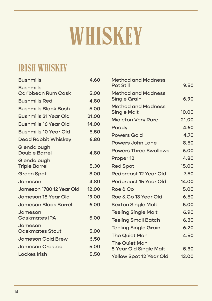## **WHISKEY**

### IRISH Whiskey

| <b>Bushmills</b>             | 4.60  | <b>Method and Madness</b>                       |       |
|------------------------------|-------|-------------------------------------------------|-------|
| <b>Bushmills</b>             |       | Pot Still                                       | 9.50  |
| Caribbean Rum Cask           | 5.00  | <b>Method and Madness</b>                       | 6.90  |
| <b>Bushmills Red</b>         | 4.80  | <b>Single Grain</b>                             |       |
| <b>Bushmills Black Bush</b>  | 5.00  | <b>Method and Madness</b><br><b>Single Malt</b> | 10.00 |
| <b>Bushmills 21 Year Old</b> | 21.00 | <b>Midleton Very Rare</b>                       | 21.00 |
| <b>Bushmills 16 Year Old</b> | 14.00 | Paddy                                           | 4.60  |
| <b>Bushmills 10 Year Old</b> | 5.50  | <b>Powers Gold</b>                              | 4.70  |
| <b>Dead Rabbit Whiskey</b>   | 6.80  | Powers John Lane                                | 8.50  |
| Glendalough                  |       |                                                 |       |
| <b>Double Barrel</b>         | 4.80  | <b>Powers Three Swallows</b>                    | 6.00  |
| Glendalough                  |       | Proper 12                                       | 4.80  |
| <b>Triple Barrel</b>         | 5.30  | <b>Red Spot</b>                                 | 15.00 |
| <b>Green Spot</b>            | 8.00  | Redbreast 12 Year Old                           | 7.50  |
| Jameson                      | 4.80  | Redbreast 15 Year Old                           | 14.00 |
| Jameson 1780 12 Year Old     | 12.00 | Roe & Co                                        | 5.00  |
| Jameson 18 Year Old          | 19.00 | Roe & Co 13 Year Old                            | 6.50  |
| Jameson Black Barrel         | 6.00  | <b>Sexton Single Malt</b>                       | 5.00  |
| Jameson                      |       | <b>Teeling Single Malt</b>                      | 6.90  |
| <b>Caskmates IPA</b>         | 5.00  | <b>Teeling Small Batch</b>                      | 6.30  |
| Jameson                      |       | <b>Teeling Single Grain</b>                     | 6.20  |
| <b>Caskmates Stout</b>       | 5.00  | The Quiet Man                                   | 4.50  |
| <b>Jameson Cold Brew</b>     | 6.50  | <b>The Quiet Man</b>                            |       |
| <b>Jameson Crested</b>       | 5.00  | 8 Year Old Single Malt                          | 5.30  |
| Lockes Irish                 | 5.50  | Yellow Spot 12 Year Old                         | 13.00 |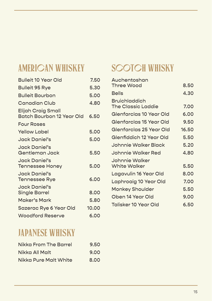### **AMERICAN WHISKEY**

| <b>Bulleit 10 Year Old</b>                                    | 7.50  |
|---------------------------------------------------------------|-------|
| <b>Bulleit 95 Rye</b>                                         | 5.30  |
| <b>Bulleit Bourbon</b>                                        | 5.00  |
| Canadian Club                                                 | 4.80  |
| <b>Elijah Craig Small</b><br><b>Batch Bourbon 12 Year Old</b> | 6.50  |
| <b>Four Roses</b>                                             |       |
| <b>Yellow Label</b>                                           | 5.00  |
| <b>Jack Daniel's</b>                                          | 5.00  |
| Jack Daniel's<br>Gentleman Jack                               | 5.50  |
| Jack Daniel's<br><b>Tennessee Honey</b>                       | 5.00  |
| Jack Daniel's<br><b>Tennessee Rye</b>                         | 6.00  |
| Jack Daniel's<br><b>Single Barrel</b>                         | 8.00  |
| Maker's Mark                                                  | 5.80  |
| Sazerac Rye 6 Year Old                                        | 10.00 |
| <b>Woodford Reserve</b>                                       | 6.00  |

### **SCOTCH WHISKY**

| Auchentoshan                                      |       |
|---------------------------------------------------|-------|
| Three Wood                                        | 8.50  |
| <b>Bells</b>                                      | 4.30  |
| <b>Bruichladdich</b><br><b>The Classic Laddie</b> | 7.00  |
| Glenfarclas 10 Year Old                           | 6.00  |
| Glenfarclas 15 Year Old                           | 9.50  |
| Glenfarclas 25 Year Old                           | 16.50 |
| Glenfiddich 12 Year Old                           | 5.50  |
| Johnnie Walker Black                              | 5.20  |
| Johnnie Walker Red                                | 4.80  |
| Johnnie Walker<br>White Walker                    | 5.50  |
| Lagavulin 16 Year Old                             | 8.00  |
| Laphroaig 10 Year Old                             | 7.00  |
| Monkey Shoulder                                   | 5.50  |
| Oben 14 Year Old                                  | 9.00  |
| Talisker 10 Year Old                              | 6.50  |

### Japanese Whisky

| Nikka From The Barrel | 9.50 |
|-----------------------|------|
| Nikka All Malt        | 9.00 |
| Nikka Pure Malt White | 8.00 |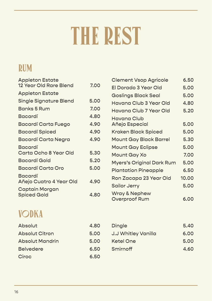## THE REST

### **RUM**

| <b>Appleton Estate</b>               |      | <b>Clement Vsop Agricole</b>                     | 6.50  |
|--------------------------------------|------|--------------------------------------------------|-------|
| <b>12 Year Old Rare Blend</b>        | 7.00 | El Dorado 3 Year Old                             | 5.00  |
| <b>Appleton Estate</b>               |      | <b>Goslings Black Seal</b>                       | 5.00  |
| <b>Single Signature Blend</b>        | 5.00 | Havana Club 3 Year Old                           | 4.80  |
| <b>Banks 5 Rum</b>                   | 7.00 | Havana Club 7 Year Old                           | 5.20  |
| Bacardí                              | 4.80 | Havana Club                                      |       |
| <b>Bacardí Carta Fuego</b>           | 4.90 | Añejo Especial                                   | 5.00  |
| <b>Bacardí Spiced</b>                | 4.90 | Kraken Black Spiced                              | 5.00  |
| <b>Bacardí Carta Negra</b>           | 4.90 | <b>Mount Gay Black Barrel</b>                    | 5.30  |
| <b>Bacardí</b>                       |      | <b>Mount Gay Eclipse</b>                         | 5.00  |
| Carta Ocho 8 Year Old                | 5.30 | Mount Gay Xo                                     | 7.00  |
| <b>Bacardí Gold</b>                  | 5.20 | <b>Myers's Original Dark Rum</b>                 | 5.00  |
| Bacardí Carta Oro                    | 5.00 | <b>Plantation Pineapple</b>                      | 6.50  |
| <b>Bacardí</b>                       |      | Ron Zacapa 23 Year Old                           | 10.00 |
| Añejo Cuatro 4 Year Old              | 4.90 | Sailor Jerry                                     | 5.00  |
| Captain Morgan<br><b>Spiced Gold</b> | 4.80 | <b>Wray &amp; Nephew</b><br><b>Overproof Rum</b> | 6.00  |

### **VODKA**

| <b>Absolut</b>         | 4.80 | Dingle              | 5.40 |
|------------------------|------|---------------------|------|
| <b>Absolut Citron</b>  | 5.00 | J.J Whitley Vanilla | 6.00 |
| <b>Absolut Mandrin</b> | 5.00 | <b>Ketel One</b>    | 5.00 |
| <b>Belvedere</b>       | 6.50 | Smirnoff            | 4.60 |
| Ciroc                  | 6.50 |                     |      |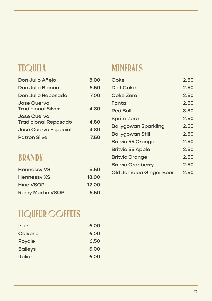### **TEQUILA**

| <b>MINERALS</b> |  |
|-----------------|--|
|-----------------|--|

| Don Julio Añejo                            | 8.00 |
|--------------------------------------------|------|
| Don Julio Blanco                           | 6.50 |
| Don Julio Reposado                         | 7.00 |
| Jose Cuervo<br><b>Tradicional Silver</b>   | 4.80 |
| Jose Cuervo<br><b>Tradicional Reposado</b> | 4.80 |
| <b>Jose Cuervo Especial</b>                | 4.80 |
| <b>Patron Silver</b>                       | 7.50 |

### **BRANDY**

| <b>Hennessy VS</b>      | 5.50  |
|-------------------------|-------|
| Hennessy XS             | 18,00 |
| Hine VSOP               | 12.00 |
| <b>Remy Martin VSOP</b> | 6.50  |

| Coke                        | 2.50 |
|-----------------------------|------|
| Diet Coke                   | 2.50 |
| Coke Zero                   | 2.50 |
| Fanta                       | 2.50 |
| <b>Red Bull</b>             | 3.80 |
| <b>Sprite Zero</b>          | 2.50 |
| <b>Ballygowan Sparkling</b> | 2.50 |
| <b>Ballygowan Still</b>     | 2.50 |
| Britvic 55 Orange           | 2.50 |
| <b>Britvic 55 Apple</b>     | 2.50 |
| <b>Britvic Orange</b>       | 2.50 |
| <b>Britvic Cranberry</b>    | 2.50 |
| Old Jamaica Ginger Beer     | 2.50 |

### LIQUEUR COFFEES

| Irish          | 6.00 |
|----------------|------|
| Calypso        | 6.00 |
| Royale         | 6.50 |
| <b>Baileys</b> | 6.00 |
| Italian        | 6.00 |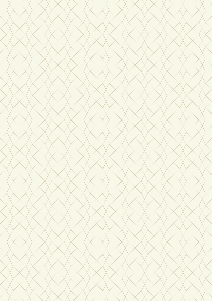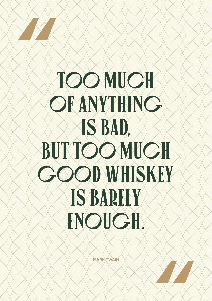## TOO MUCH of anything is bad, **BUT TOO MUCH GOOD WHISKEY** is barely enough.

**MARK TWAIN**